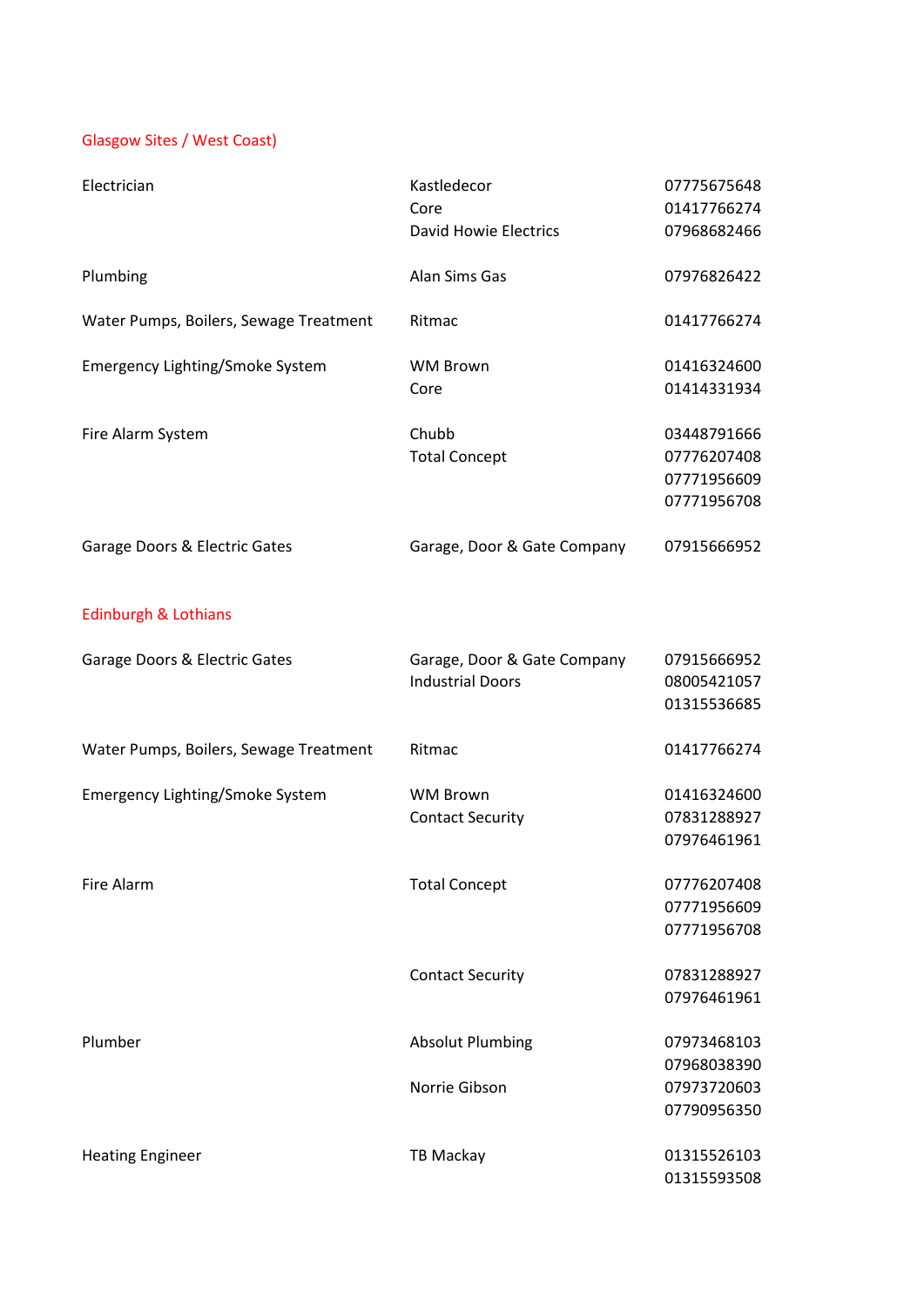## Glasgow Sites / West Coast)

| Electrician                            | Kastledecor<br>Core<br><b>David Howie Electrics</b>    | 07775675648<br>01417766274<br>07968682466                |
|----------------------------------------|--------------------------------------------------------|----------------------------------------------------------|
| Plumbing                               | Alan Sims Gas                                          | 07976826422                                              |
| Water Pumps, Boilers, Sewage Treatment | Ritmac                                                 | 01417766274                                              |
| Emergency Lighting/Smoke System        | <b>WM Brown</b><br>Core                                | 01416324600<br>01414331934                               |
| Fire Alarm System                      | Chubb<br><b>Total Concept</b>                          | 03448791666<br>07776207408<br>07771956609<br>07771956708 |
| Garage Doors & Electric Gates          | Garage, Door & Gate Company                            | 07915666952                                              |
| <b>Edinburgh &amp; Lothians</b>        |                                                        |                                                          |
| Garage Doors & Electric Gates          | Garage, Door & Gate Company<br><b>Industrial Doors</b> | 07915666952<br>08005421057<br>01315536685                |
| Water Pumps, Boilers, Sewage Treatment | Ritmac                                                 | 01417766274                                              |
| Emergency Lighting/Smoke System        | <b>WM Brown</b><br><b>Contact Security</b>             | 01416324600<br>07831288927<br>07976461961                |
| Fire Alarm                             | <b>Total Concept</b>                                   | 07776207408<br>07771956609<br>07771956708                |
|                                        | <b>Contact Security</b>                                | 07831288927<br>07976461961                               |
| Plumber                                | <b>Absolut Plumbing</b>                                | 07973468103<br>07968038390                               |
|                                        | Norrie Gibson                                          | 07973720603<br>07790956350                               |
| <b>Heating Engineer</b>                | <b>TB Mackay</b>                                       | 01315526103<br>01315593508                               |